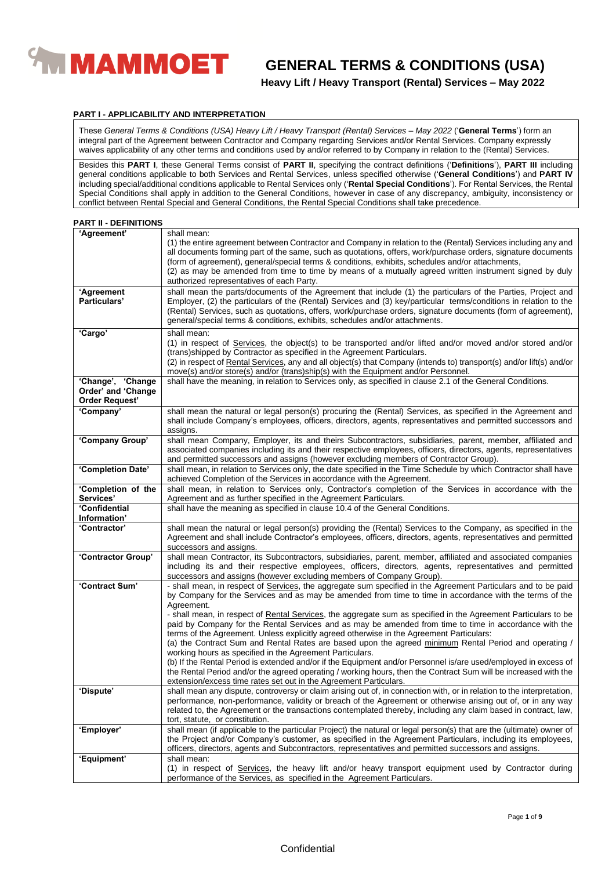

#### **PART I - APPLICABILITY AND INTERPRETATION**

These *General Terms & Conditions (USA) Heavy Lift / Heavy Transport (Rental) Services – May 2022* ('**General Terms**') form an integral part of the Agreement between Contractor and Company regarding Services and/or Rental Services. Company expressly waives applicability of any other terms and conditions used by and/or referred to by Company in relation to the (Rental) Services.

Besides this **PART I**, these General Terms consist of **PART II**, specifying the contract definitions ('**Definitions**'), **PART III** including general conditions applicable to both Services and Rental Services, unless specified otherwise ('**General Conditions**') and **PART IV** including special/additional conditions applicable to Rental Services only ('**Rental Special Conditions**'). For Rental Services, the Rental Special Conditions shall apply in addition to the General Conditions, however in case of any discrepancy, ambiguity, inconsistency or conflict between Rental Special and General Conditions, the Rental Special Conditions shall take precedence.

#### **PART II - DEFINITIONS**

| 'Agreement'                                                      | shall mean:<br>(1) the entire agreement between Contractor and Company in relation to the (Rental) Services including any and<br>all documents forming part of the same, such as quotations, offers, work/purchase orders, signature documents<br>(form of agreement), general/special terms & conditions, exhibits, schedules and/or attachments,<br>(2) as may be amended from time to time by means of a mutually agreed written instrument signed by duly<br>authorized representatives of each Party.                                                     |
|------------------------------------------------------------------|----------------------------------------------------------------------------------------------------------------------------------------------------------------------------------------------------------------------------------------------------------------------------------------------------------------------------------------------------------------------------------------------------------------------------------------------------------------------------------------------------------------------------------------------------------------|
| 'Agreement<br>Particulars'                                       | shall mean the parts/documents of the Agreement that include (1) the particulars of the Parties, Project and<br>Employer, (2) the particulars of the (Rental) Services and (3) key/particular terms/conditions in relation to the<br>(Rental) Services, such as quotations, offers, work/purchase orders, signature documents (form of agreement),<br>general/special terms & conditions, exhibits, schedules and/or attachments.                                                                                                                              |
| 'Cargo'                                                          | shall mean:<br>(1) in respect of Services, the object(s) to be transported and/or lifted and/or moved and/or stored and/or<br>(trans) shipped by Contractor as specified in the Agreement Particulars.<br>(2) in respect of Rental Services, any and all object(s) that Company (intends to) transport(s) and/or lift(s) and/or<br>move(s) and/or store(s) and/or (trans)ship(s) with the Equipment and/or Personnel.                                                                                                                                          |
| 'Change', 'Change<br>Order' and 'Change<br><b>Order Request'</b> | shall have the meaning, in relation to Services only, as specified in clause 2.1 of the General Conditions.                                                                                                                                                                                                                                                                                                                                                                                                                                                    |
| 'Company'                                                        | shall mean the natural or legal person(s) procuring the (Rental) Services, as specified in the Agreement and<br>shall include Company's employees, officers, directors, agents, representatives and permitted successors and<br>assigns.                                                                                                                                                                                                                                                                                                                       |
| 'Company Group'                                                  | shall mean Company, Employer, its and theirs Subcontractors, subsidiaries, parent, member, affiliated and<br>associated companies including its and their respective employees, officers, directors, agents, representatives<br>and permitted successors and assigns (however excluding members of Contractor Group).                                                                                                                                                                                                                                          |
| 'Completion Date'                                                | shall mean, in relation to Services only, the date specified in the Time Schedule by which Contractor shall have<br>achieved Completion of the Services in accordance with the Agreement.                                                                                                                                                                                                                                                                                                                                                                      |
| 'Completion of the<br>Services'                                  | shall mean, in relation to Services only, Contractor's completion of the Services in accordance with the<br>Agreement and as further specified in the Agreement Particulars.                                                                                                                                                                                                                                                                                                                                                                                   |
| 'Confidential<br>Information'                                    | shall have the meaning as specified in clause 10.4 of the General Conditions.                                                                                                                                                                                                                                                                                                                                                                                                                                                                                  |
| 'Contractor'                                                     | shall mean the natural or legal person(s) providing the (Rental) Services to the Company, as specified in the<br>Agreement and shall include Contractor's employees, officers, directors, agents, representatives and permitted<br>successors and assigns.                                                                                                                                                                                                                                                                                                     |
| 'Contractor Group'                                               | shall mean Contractor, its Subcontractors, subsidiaries, parent, member, affiliated and associated companies<br>including its and their respective employees, officers, directors, agents, representatives and permitted<br>successors and assigns (however excluding members of Company Group).                                                                                                                                                                                                                                                               |
| 'Contract Sum'                                                   | - shall mean, in respect of Services, the aggregate sum specified in the Agreement Particulars and to be paid<br>by Company for the Services and as may be amended from time to time in accordance with the terms of the<br>Agreement.<br>- shall mean, in respect of Rental Services, the aggregate sum as specified in the Agreement Particulars to be<br>paid by Company for the Rental Services and as may be amended from time to time in accordance with the<br>terms of the Agreement. Unless explicitly agreed otherwise in the Agreement Particulars: |
|                                                                  | (a) the Contract Sum and Rental Rates are based upon the agreed minimum Rental Period and operating /<br>working hours as specified in the Agreement Particulars.<br>(b) If the Rental Period is extended and/or if the Equipment and/or Personnel is/are used/employed in excess of<br>the Rental Period and/or the agreed operating / working hours, then the Contract Sum will be increased with the<br>extension/excess time rates set out in the Agreement Particulars.                                                                                   |
| 'Dispute'                                                        | shall mean any dispute, controversy or claim arising out of, in connection with, or in relation to the interpretation,<br>performance, non-performance, validity or breach of the Agreement or otherwise arising out of, or in any way<br>related to, the Agreement or the transactions contemplated thereby, including any claim based in contract, law,<br>tort, statute, or constitution.                                                                                                                                                                   |
| 'Employer'                                                       | shall mean (if applicable to the particular Project) the natural or legal person(s) that are the (ultimate) owner of<br>the Project and/or Company's customer, as specified in the Agreement Particulars, including its employees,<br>officers, directors, agents and Subcontractors, representatives and permitted successors and assigns.                                                                                                                                                                                                                    |
| 'Equipment'                                                      | shall mean:<br>(1) in respect of Services, the heavy lift and/or heavy transport equipment used by Contractor during<br>performance of the Services, as specified in the Agreement Particulars.                                                                                                                                                                                                                                                                                                                                                                |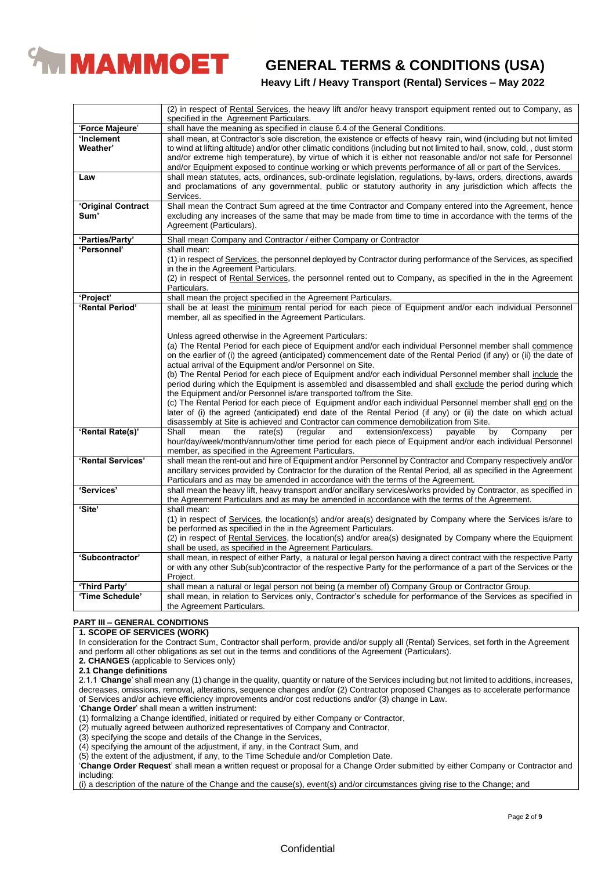

|                    | (2) in respect of Rental Services, the heavy lift and/or heavy transport equipment rented out to Company, as<br>specified in the Agreement Particulars. |
|--------------------|---------------------------------------------------------------------------------------------------------------------------------------------------------|
| 'Force Majeure'    | shall have the meaning as specified in clause 6.4 of the General Conditions.                                                                            |
| 'Inclement         | shall mean, at Contractor's sole discretion, the existence or effects of heavy rain, wind (including but not limited                                    |
| Weather'           | to wind at lifting altitude) and/or other climatic conditions (including but not limited to hail, snow, cold, , dust storm                              |
|                    | and/or extreme high temperature), by virtue of which it is either not reasonable and/or not safe for Personnel                                          |
|                    | and/or Equipment exposed to continue working or which prevents performance of all or part of the Services.                                              |
| Law                | shall mean statutes, acts, ordinances, sub-ordinate legislation, regulations, by-laws, orders, directions, awards                                       |
|                    | and proclamations of any governmental, public or statutory authority in any jurisdiction which affects the                                              |
|                    | Services.                                                                                                                                               |
| 'Original Contract | Shall mean the Contract Sum agreed at the time Contractor and Company entered into the Agreement, hence                                                 |
| Sum'               | excluding any increases of the same that may be made from time to time in accordance with the terms of the                                              |
|                    | Agreement (Particulars).                                                                                                                                |
|                    |                                                                                                                                                         |
| 'Parties/Party'    | Shall mean Company and Contractor / either Company or Contractor                                                                                        |
| 'Personnel'        | shall mean:                                                                                                                                             |
|                    | (1) in respect of Services, the personnel deployed by Contractor during performance of the Services, as specified                                       |
|                    | in the in the Agreement Particulars.                                                                                                                    |
|                    | (2) in respect of Rental Services, the personnel rented out to Company, as specified in the in the Agreement                                            |
|                    | Particulars.                                                                                                                                            |
| 'Project'          | shall mean the project specified in the Agreement Particulars.                                                                                          |
| 'Rental Period'    | shall be at least the minimum rental period for each piece of Equipment and/or each individual Personnel                                                |
|                    | member, all as specified in the Agreement Particulars.                                                                                                  |
|                    |                                                                                                                                                         |
|                    | Unless agreed otherwise in the Agreement Particulars:                                                                                                   |
|                    | (a) The Rental Period for each piece of Equipment and/or each individual Personnel member shall commence                                                |
|                    | on the earlier of (i) the agreed (anticipated) commencement date of the Rental Period (if any) or (ii) the date of                                      |
|                    | actual arrival of the Equipment and/or Personnel on Site.                                                                                               |
|                    | (b) The Rental Period for each piece of Equipment and/or each individual Personnel member shall include the                                             |
|                    | period during which the Equipment is assembled and disassembled and shall exclude the period during which                                               |
|                    | the Equipment and/or Personnel is/are transported to/from the Site.                                                                                     |
|                    | (c) The Rental Period for each piece of Equipment and/or each individual Personnel member shall end on the                                              |
|                    | later of (i) the agreed (anticipated) end date of the Rental Period (if any) or (ii) the date on which actual                                           |
|                    | disassembly at Site is achieved and Contractor can commence demobilization from Site.                                                                   |
| 'Rental Rate(s)'   | Shall<br>mean<br>the<br>(regular<br>extension/excess)<br>payable<br>by<br>Company<br>rate(s)<br>and<br>per                                              |
|                    | hour/day/week/month/annum/other time period for each piece of Equipment and/or each individual Personnel                                                |
|                    | member, as specified in the Agreement Particulars.                                                                                                      |
| 'Rental Services'  | shall mean the rent-out and hire of Equipment and/or Personnel by Contractor and Company respectively and/or                                            |
|                    | ancillary services provided by Contractor for the duration of the Rental Period, all as specified in the Agreement                                      |
|                    | Particulars and as may be amended in accordance with the terms of the Agreement.                                                                        |
| 'Services'         | shall mean the heavy lift, heavy transport and/or ancillary services/works provided by Contractor, as specified in                                      |
|                    | the Agreement Particulars and as may be amended in accordance with the terms of the Agreement.                                                          |
| 'Site'             | shall mean:                                                                                                                                             |
|                    | (1) in respect of Services, the location(s) and/or area(s) designated by Company where the Services is/are to                                           |
|                    | be performed as specified in the in the Agreement Particulars.                                                                                          |
|                    | (2) in respect of Rental Services, the location(s) and/or area(s) designated by Company where the Equipment                                             |
|                    | shall be used, as specified in the Agreement Particulars.                                                                                               |
| 'Subcontractor'    | shall mean, in respect of either Party, a natural or legal person having a direct contract with the respective Party                                    |
|                    | or with any other Sub(sub)contractor of the respective Party for the performance of a part of the Services or the                                       |
|                    | Project.                                                                                                                                                |
| 'Third Party'      | shall mean a natural or legal person not being (a member of) Company Group or Contractor Group.                                                         |
| 'Time Schedule'    | shall mean, in relation to Services only, Contractor's schedule for performance of the Services as specified in                                         |
|                    | the Agreement Particulars.                                                                                                                              |

#### **PART III – GENERAL CONDITIONS**

#### **1. SCOPE OF SERVICES (WORK)**

In consideration for the Contract Sum, Contractor shall perform, provide and/or supply all (Rental) Services, set forth in the Agreement and perform all other obligations as set out in the terms and conditions of the Agreement (Particulars).

**2. CHANGES** (applicable to Services only)

**2.1 Change definitions**

2.1.1 '**Change**' shall mean any (1) change in the quality, quantity or nature of the Services including but not limited to additions, increases, decreases, omissions, removal, alterations, sequence changes and/or (2) Contractor proposed Changes as to accelerate performance of Services and/or achieve efficiency improvements and/or cost reductions and/or (3) change in Law.

'**Change Order**' shall mean a written instrument:

(1) formalizing a Change identified, initiated or required by either Company or Contractor,

(2) mutually agreed between authorized representatives of Company and Contractor,

(3) specifying the scope and details of the Change in the Services,

(4) specifying the amount of the adjustment, if any, in the Contract Sum, and

(5) the extent of the adjustment, if any, to the Time Schedule and/or Completion Date.

'**Change Order Request**' shall mean a written request or proposal for a Change Order submitted by either Company or Contractor and including:

(i) a description of the nature of the Change and the cause(s), event(s) and/or circumstances giving rise to the Change; and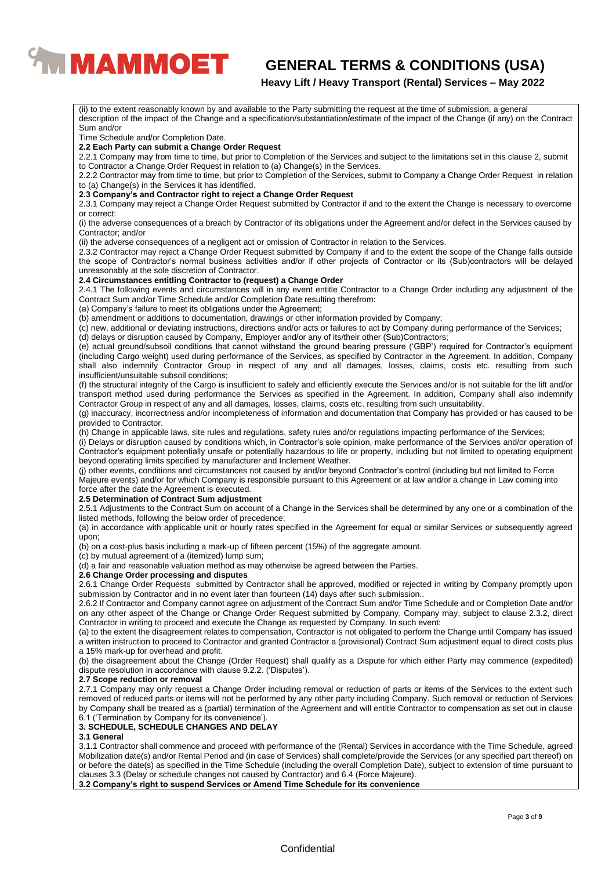

(ii) to the extent reasonably known by and available to the Party submitting the request at the time of submission, a general description of the impact of the Change and a specification/substantiation/estimate of the impact of the Change (if any) on the Contract Sum and/or Time Schedule and/or Completion Date. **2.2 Each Party can submit a Change Order Request** 2.2.1 Company may from time to time, but prior to Completion of the Services and subject to the limitations set in this clause 2, submit to Contractor a Change Order Request in relation to (a) Change(s) in the Services. 2.2.2 Contractor may from time to time, but prior to Completion of the Services, submit to Company a Change Order Request in relation to (a) Change(s) in the Services it has identified. **2.3 Company's and Contractor right to reject a Change Order Request** 2.3.1 Company may reject a Change Order Request submitted by Contractor if and to the extent the Change is necessary to overcome or correct: (i) the adverse consequences of a breach by Contractor of its obligations under the Agreement and/or defect in the Services caused by Contractor; and/or (ii) the adverse consequences of a negligent act or omission of Contractor in relation to the Services. 2.3.2 Contractor may reject a Change Order Request submitted by Company if and to the extent the scope of the Change falls outside the scope of Contractor's normal business activities and/or if other projects of Contractor or its (Sub)contractors will be delayed unreasonably at the sole discretion of Contractor. **2.4 Circumstances entitling Contractor to (request) a Change Order** 2.4.1 The following events and circumstances will in any event entitle Contractor to a Change Order including any adjustment of the Contract Sum and/or Time Schedule and/or Completion Date resulting therefrom: (a) Company's failure to meet its obligations under the Agreement; (b) amendment or additions to documentation, drawings or other information provided by Company; (c) new, additional or deviating instructions, directions and/or acts or failures to act by Company during performance of the Services; (d) delays or disruption caused by Company, Employer and/or any of its/their other (Sub)Contractors; (e) actual ground/subsoil conditions that cannot withstand the ground bearing pressure ('GBP') required for Contractor's equipment (including Cargo weight) used during performance of the Services, as specified by Contractor in the Agreement. In addition, Company shall also indemnify Contractor Group in respect of any and all damages, losses, claims, costs etc. resulting from such insufficient/unsuitable subsoil conditions; (f) the structural integrity of the Cargo is insufficient to safely and efficiently execute the Services and/or is not suitable for the lift and/or transport method used during performance the Services as specified in the Agreement. In addition, Company shall also indemnify Contractor Group in respect of any and all damages, losses, claims, costs etc. resulting from such unsuitability. (g) inaccuracy, incorrectness and/or incompleteness of information and documentation that Company has provided or has caused to be provided to Contractor. (h) Change in applicable laws, site rules and regulations, safety rules and/or regulations impacting performance of the Services; (i) Delays or disruption caused by conditions which, in Contractor's sole opinion, make performance of the Services and/or operation of Contractor's equipment potentially unsafe or potentially hazardous to life or property, including but not limited to operating equipment beyond operating limits specified by manufacturer and Inclement Weather. (j) other events, conditions and circumstances not caused by and/or beyond Contractor's control (including but not limited to Force Majeure events) and/or for which Company is responsible pursuant to this Agreement or at law and/or a change in Law coming into force after the date the Agreement is executed. **2.5 Determination of Contract Sum adjustment** 2.5.1 Adjustments to the Contract Sum on account of a Change in the Services shall be determined by any one or a combination of the listed methods, following the below order of precedence: (a) in accordance with applicable unit or hourly rates specified in the Agreement for equal or similar Services or subsequently agreed upon; (b) on a cost-plus basis including a mark-up of fifteen percent (15%) of the aggregate amount. (c) by mutual agreement of a (itemized) lump sum; (d) a fair and reasonable valuation method as may otherwise be agreed between the Parties. **2.6 Change Order processing and disputes** 2.6.1 Change Order Requests submitted by Contractor shall be approved, modified or rejected in writing by Company promptly upon submission by Contractor and in no event later than fourteen (14) days after such submission.. 2.6.2 If Contractor and Company cannot agree on adjustment of the Contract Sum and/or Time Schedule and or Completion Date and/or on any other aspect of the Change or Change Order Request submitted by Company, Company may, subject to clause 2.3.2, direct Contractor in writing to proceed and execute the Change as requested by Company. In such event: (a) to the extent the disagreement relates to compensation, Contractor is not obligated to perform the Change until Company has issued a written instruction to proceed to Contractor and granted Contractor a (provisional) Contract Sum adjustment equal to direct costs plus a 15% mark-up for overhead and profit. (b) the disagreement about the Change (Order Request) shall qualify as a Dispute for which either Party may commence (expedited) dispute resolution in accordance with clause 9.2.2. ('Disputes'). **2.7 Scope reduction or removal** 2.7.1 Company may only request a Change Order including removal or reduction of parts or items of the Services to the extent such removed of reduced parts or items will not be performed by any other party including Company. Such removal or reduction of Services by Company shall be treated as a (partial) termination of the Agreement and will entitle Contractor to compensation as set out in clause 6.1 ('Termination by Company for its convenience'). **3. SCHEDULE, SCHEDULE CHANGES AND DELAY 3.1 General** 3.1.1 Contractor shall commence and proceed with performance of the (Rental) Services in accordance with the Time Schedule, agreed Mobilization date(s) and/or Rental Period and (in case of Services) shall complete/provide the Services (or any specified part thereof) on or before the date(s) as specified in the Time Schedule (including the overall Completion Date), subject to extension of time pursuant to clauses 3.3 (Delay or schedule changes not caused by Contractor) and 6.4 (Force Majeure). **3.2 Company's right to suspend Services or Amend Time Schedule for its convenience**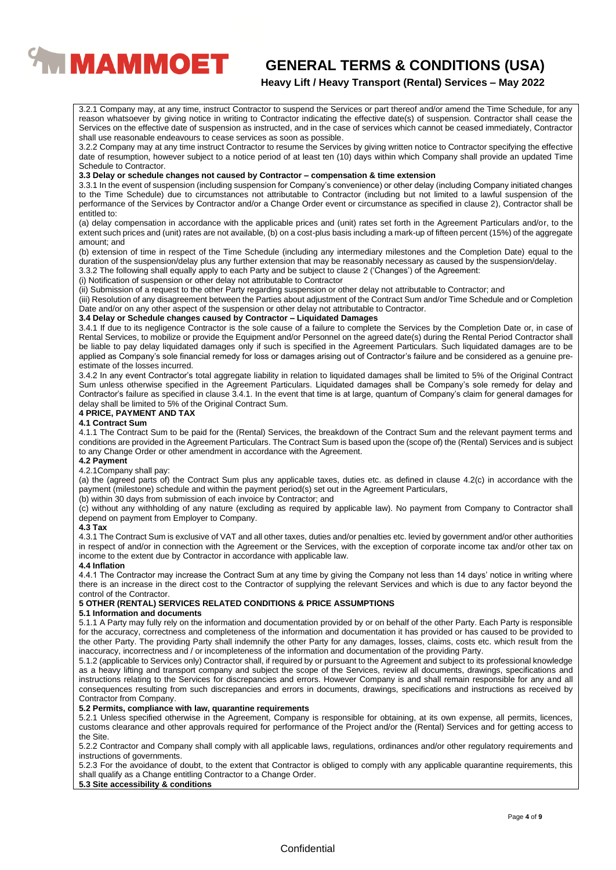

# **GENERAL TERMS & CONDITIONS (USA)**

**Heavy Lift / Heavy Transport (Rental) Services – May 2022**

3.2.1 Company may, at any time, instruct Contractor to suspend the Services or part thereof and/or amend the Time Schedule, for any reason whatsoever by giving notice in writing to Contractor indicating the effective date(s) of suspension. Contractor shall cease the Services on the effective date of suspension as instructed, and in the case of services which cannot be ceased immediately, Contractor shall use reasonable endeavours to cease services as soon as possible.

3.2.2 Company may at any time instruct Contractor to resume the Services by giving written notice to Contractor specifying the effective date of resumption, however subject to a notice period of at least ten (10) days within which Company shall provide an updated Time Schedule to Contractor.

#### **3.3 Delay or schedule changes not caused by Contractor – compensation & time extension**

3.3.1 In the event of suspension (including suspension for Company's convenience) or other delay (including Company initiated changes to the Time Schedule) due to circumstances not attributable to Contractor (including but not limited to a lawful suspension of the performance of the Services by Contractor and/or a Change Order event or circumstance as specified in clause 2), Contractor shall be entitled to:

(a) delay compensation in accordance with the applicable prices and (unit) rates set forth in the Agreement Particulars and/or, to the extent such prices and (unit) rates are not available, (b) on a cost-plus basis including a mark-up of fifteen percent (15%) of the aggregate amount; and

(b) extension of time in respect of the Time Schedule (including any intermediary milestones and the Completion Date) equal to the duration of the suspension/delay plus any further extension that may be reasonably necessary as caused by the suspension/delay.

3.3.2 The following shall equally apply to each Party and be subject to clause 2 ('Changes') of the Agreement:

(i) Notification of suspension or other delay not attributable to Contractor

(ii) Submission of a request to the other Party regarding suspension or other delay not attributable to Contractor; and

(iii) Resolution of any disagreement between the Parties about adjustment of the Contract Sum and/or Time Schedule and or Completion Date and/or on any other aspect of the suspension or other delay not attributable to Contractor.

#### **3.4 Delay or Schedule changes caused by Contractor – Liquidated Damages**

3.4.1 If due to its negligence Contractor is the sole cause of a failure to complete the Services by the Completion Date or, in case of Rental Services, to mobilize or provide the Equipment and/or Personnel on the agreed date(s) during the Rental Period Contractor shall be liable to pay delay liquidated damages only if such is specified in the Agreement Particulars. Such liquidated damages are to be applied as Company's sole financial remedy for loss or damages arising out of Contractor's failure and be considered as a genuine preestimate of the losses incurred.

3.4.2 In any event Contractor's total aggregate liability in relation to liquidated damages shall be limited to 5% of the Original Contract Sum unless otherwise specified in the Agreement Particulars. Liquidated damages shall be Company's sole remedy for delay and Contractor's failure as specified in clause 3.4.1. In the event that time is at large, quantum of Company's claim for general damages for delay shall be limited to 5% of the Original Contract Sum.

#### **4 PRICE, PAYMENT AND TAX**

#### **4.1 Contract Sum**

4.1.1 The Contract Sum to be paid for the (Rental) Services, the breakdown of the Contract Sum and the relevant payment terms and conditions are provided in the Agreement Particulars. The Contract Sum is based upon the (scope of) the (Rental) Services and is subject to any Change Order or other amendment in accordance with the Agreement.

#### **4.2 Payment**

4.2.1Company shall pay:

(a) the (agreed parts of) the Contract Sum plus any applicable taxes, duties etc. as defined in clause 4.2(c) in accordance with the payment (milestone) schedule and within the payment period(s) set out in the Agreement Particulars,

(b) within 30 days from submission of each invoice by Contractor; and

(c) without any withholding of any nature (excluding as required by applicable law). No payment from Company to Contractor shall depend on payment from Employer to Company.

#### **4.3 Tax**

4.3.1 The Contract Sum is exclusive of VAT and all other taxes, duties and/or penalties etc. levied by government and/or other authorities in respect of and/or in connection with the Agreement or the Services, with the exception of corporate income tax and/or other tax on income to the extent due by Contractor in accordance with applicable law.

#### **4.4 Inflation**

4.4.1 The Contractor may increase the Contract Sum at any time by giving the Company not less than 14 days' notice in writing where there is an increase in the direct cost to the Contractor of supplying the relevant Services and which is due to any factor beyond the control of the Contractor.

#### **5 OTHER (RENTAL) SERVICES RELATED CONDITIONS & PRICE ASSUMPTIONS**

#### **5.1 Information and documents**

5.1.1 A Party may fully rely on the information and documentation provided by or on behalf of the other Party. Each Party is responsible for the accuracy, correctness and completeness of the information and documentation it has provided or has caused to be provided to the other Party. The providing Party shall indemnify the other Party for any damages, losses, claims, costs etc. which result from the inaccuracy, incorrectness and / or incompleteness of the information and documentation of the providing Party.

5.1.2 (applicable to Services only) Contractor shall, if required by or pursuant to the Agreement and subject to its professional knowledge as a heavy lifting and transport company and subject the scope of the Services, review all documents, drawings, specifications and instructions relating to the Services for discrepancies and errors. However Company is and shall remain responsible for any and all consequences resulting from such discrepancies and errors in documents, drawings, specifications and instructions as received by Contractor from Company.

## **5.2 Permits, compliance with law, quarantine requirements**

5.2.1 Unless specified otherwise in the Agreement, Company is responsible for obtaining, at its own expense, all permits, licences, customs clearance and other approvals required for performance of the Project and/or the (Rental) Services and for getting access to the Site.

5.2.2 Contractor and Company shall comply with all applicable laws, regulations, ordinances and/or other regulatory requirements and instructions of governments.

5.2.3 For the avoidance of doubt, to the extent that Contractor is obliged to comply with any applicable quarantine requirements, this shall qualify as a Change entitling Contractor to a Change Order.

### **5.3 Site accessibility & conditions**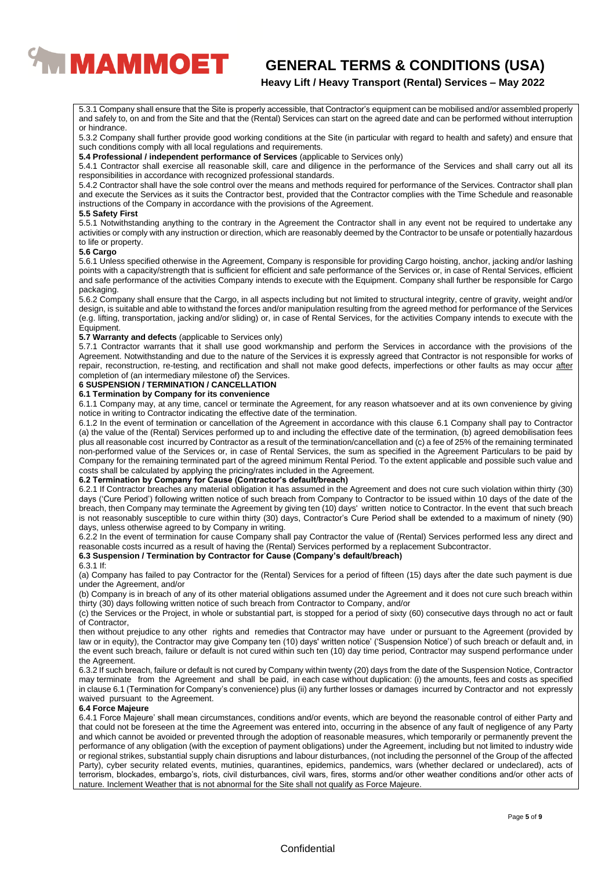

## **GENERAL TERMS & CONDITIONS (USA)**

## **Heavy Lift / Heavy Transport (Rental) Services – May 2022**

5.3.1 Company shall ensure that the Site is properly accessible, that Contractor's equipment can be mobilised and/or assembled properly and safely to, on and from the Site and that the (Rental) Services can start on the agreed date and can be performed without interruption or hindrance.

5.3.2 Company shall further provide good working conditions at the Site (in particular with regard to health and safety) and ensure that such conditions comply with all local regulations and requirements.

**5.4 Professional / independent performance of Services** (applicable to Services only)

5.4.1 Contractor shall exercise all reasonable skill, care and diligence in the performance of the Services and shall carry out all its responsibilities in accordance with recognized professional standards.

5.4.2 Contractor shall have the sole control over the means and methods required for performance of the Services. Contractor shall plan and execute the Services as it suits the Contractor best, provided that the Contractor complies with the Time Schedule and reasonable instructions of the Company in accordance with the provisions of the Agreement.

#### **5.5 Safety First**

5.5.1 Notwithstanding anything to the contrary in the Agreement the Contractor shall in any event not be required to undertake any activities or comply with any instruction or direction, which are reasonably deemed by the Contractor to be unsafe or potentially hazardous to life or property.

#### **5.6 Cargo**

5.6.1 Unless specified otherwise in the Agreement, Company is responsible for providing Cargo hoisting, anchor, jacking and/or lashing points with a capacity/strength that is sufficient for efficient and safe performance of the Services or, in case of Rental Services, efficient and safe performance of the activities Company intends to execute with the Equipment. Company shall further be responsible for Cargo packaging.

5.6.2 Company shall ensure that the Cargo, in all aspects including but not limited to structural integrity, centre of gravity, weight and/or design, is suitable and able to withstand the forces and/or manipulation resulting from the agreed method for performance of the Services (e.g. lifting, transportation, jacking and/or sliding) or, in case of Rental Services, for the activities Company intends to execute with the Equipment.

#### **5.7 Warranty and defects** (applicable to Services only)

5.7.1 Contractor warrants that it shall use good workmanship and perform the Services in accordance with the provisions of the Agreement. Notwithstanding and due to the nature of the Services it is expressly agreed that Contractor is not responsible for works of repair, reconstruction, re-testing, and rectification and shall not make good defects, imperfections or other faults as may occur after completion of (an intermediary milestone of) the Services.

#### **6 SUSPENSION / TERMINATION / CANCELLATION**

#### **6.1 Termination by Company for its convenience**

6.1.1 Company may, at any time, cancel or terminate the Agreement, for any reason whatsoever and at its own convenience by giving notice in writing to Contractor indicating the effective date of the termination.

6.1.2 In the event of termination or cancellation of the Agreement in accordance with this clause 6.1 Company shall pay to Contractor (a) the value of the (Rental) Services performed up to and including the effective date of the termination, (b) agreed demobilisation fees plus all reasonable cost incurred by Contractor as a result of the termination/cancellation and (c) a fee of 25% of the remaining terminated non-performed value of the Services or, in case of Rental Services, the sum as specified in the Agreement Particulars to be paid by Company for the remaining terminated part of the agreed minimum Rental Period. To the extent applicable and possible such value and costs shall be calculated by applying the pricing/rates included in the Agreement.

#### **6.2 Termination by Company for Cause (Contractor's default/breach)**

6.2.1 If Contractor breaches any material obligation it has assumed in the Agreement and does not cure such violation within thirty (30) days ('Cure Period') following written notice of such breach from Company to Contractor to be issued within 10 days of the date of the breach, then Company may terminate the Agreement by giving ten (10) days' written notice to Contractor. ln the event that such breach is not reasonably susceptible to cure within thirty (30) days, Contractor's Cure Period shall be extended to a maximum of ninety (90) days, unless otherwise agreed to by Company in writing.

6.2.2 In the event of termination for cause Company shall pay Contractor the value of (Rental) Services performed less any direct and reasonable costs incurred as a result of having the (Rental) Services performed by a replacement Subcontractor.

#### **6.3 Suspension / Termination by Contractor for Cause (Company's default/breach)**

#### 6.3.1 If:

(a) Company has failed to pay Contractor for the (Rental) Services for a period of fifteen (15) days after the date such payment is due under the Agreement, and/or

(b) Company is in breach of any of its other material obligations assumed under the Agreement and it does not cure such breach within thirty (30) days following written notice of such breach from Contractor to Company, and/or

(c) the Services or the Project, in whole or substantial part, is stopped for a period of sixty (60) consecutive days through no act or fault of Contractor,

then without prejudice to any other rights and remedies that Contractor may have under or pursuant to the Agreement (provided by law or in equity), the Contractor may give Company ten (10) days' written notice' ('Suspension Notice') of such breach or default and, in the event such breach, failure or default is not cured within such ten (10) day time period, Contractor may suspend performance under the Agreement.

6.3.2 If such breach, failure or default is not cured by Company within twenty (20) days from the date of the Suspension Notice, Contractor may terminate from the Agreement and shall be paid, in each case without duplication: (i) the amounts, fees and costs as specified in clause 6.1 (Termination for Company's convenience) plus (ii) any further losses or damages incurred by Contractor and not expressly waived pursuant to the Agreement.

#### **6.4 Force Majeure**

6.4.1 Force Majeure' shall mean circumstances, conditions and/or events, which are beyond the reasonable control of either Party and that could not be foreseen at the time the Agreement was entered into, occurring in the absence of any fault of negligence of any Party and which cannot be avoided or prevented through the adoption of reasonable measures, which temporarily or permanently prevent the performance of any obligation (with the exception of payment obligations) under the Agreement, including but not limited to industry wide or regional strikes, substantial supply chain disruptions and labour disturbances, (not including the personnel of the Group of the affected Party), cyber security related events, mutinies, quarantines, epidemics, pandemics, wars (whether declared or undeclared), acts of terrorism, blockades, embargo's, riots, civil disturbances, civil wars, fires, storms and/or other weather conditions and/or other acts of nature. Inclement Weather that is not abnormal for the Site shall not qualify as Force Majeure.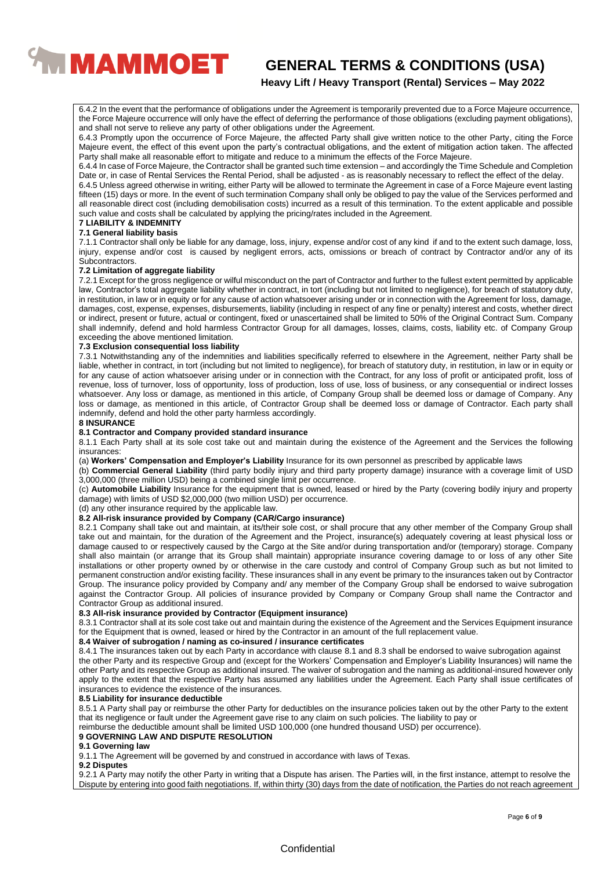# *MMAMMOET*

# **GENERAL TERMS & CONDITIONS (USA)**

**Heavy Lift / Heavy Transport (Rental) Services – May 2022**

6.4.2 In the event that the performance of obligations under the Agreement is temporarily prevented due to a Force Majeure occurrence, the Force Majeure occurrence will only have the effect of deferring the performance of those obligations (excluding payment obligations), and shall not serve to relieve any party of other obligations under the Agreement.

6.4.3 Promptly upon the occurrence of Force Majeure, the affected Party shall give written notice to the other Party, citing the Force Majeure event, the effect of this event upon the party's contractual obligations, and the extent of mitigation action taken. The affected Party shall make all reasonable effort to mitigate and reduce to a minimum the effects of the Force Majeure.

6.4.4 In case of Force Majeure, the Contractor shall be granted such time extension – and accordingly the Time Schedule and Completion Date or, in case of Rental Services the Rental Period, shall be adjusted - as is reasonably necessary to reflect the effect of the delay.

6.4.5 Unless agreed otherwise in writing, either Party will be allowed to terminate the Agreement in case of a Force Majeure event lasting fifteen (15) days or more. In the event of such termination Company shall only be obliged to pay the value of the Services performed and all reasonable direct cost (including demobilisation costs) incurred as a result of this termination. To the extent applicable and possible such value and costs shall be calculated by applying the pricing/rates included in the Agreement.

#### **7 LIABILITY & INDEMNITY 7.1 General liability basis**

7.1.1 Contractor shall only be liable for any damage, loss, injury, expense and/or cost of any kind if and to the extent such damage, loss, injury, expense and/or cost is caused by negligent errors, acts, omissions or breach of contract by Contractor and/or any of its Subcontractors.

#### **7.2 Limitation of aggregate liability**

7.2.1 Except for the gross negligence or wilful misconduct on the part of Contractor and further to the fullest extent permitted by applicable law, Contractor's total aggregate liability whether in contract, in tort (including but not limited to negligence), for breach of statutory duty, in restitution, in law or in equity or for any cause of action whatsoever arising under or in connection with the Agreement for loss, damage, damages, cost, expense, expenses, disbursements, liability (including in respect of any fine or penalty) interest and costs, whether direct or indirect, present or future, actual or contingent, fixed or unascertained shall be limited to 50% of the Original Contract Sum. Company shall indemnify, defend and hold harmless Contractor Group for all damages, losses, claims, costs, liability etc. of Company Group exceeding the above mentioned limitation.

#### **7.3 Exclusion consequential loss liability**

7.3.1 Notwithstanding any of the indemnities and liabilities specifically referred to elsewhere in the Agreement, neither Party shall be liable, whether in contract, in tort (including but not limited to negligence), for breach of statutory duty, in restitution, in law or in equity or for any cause of action whatsoever arising under or in connection with the Contract, for any loss of profit or anticipated profit, loss of revenue, loss of turnover, loss of opportunity, loss of production, loss of use, loss of business, or any consequential or indirect losses whatsoever. Any loss or damage, as mentioned in this article, of Company Group shall be deemed loss or damage of Company. Any loss or damage, as mentioned in this article, of Contractor Group shall be deemed loss or damage of Contractor. Each party shall indemnify, defend and hold the other party harmless accordingly.

#### **8 INSURANCE**

#### **8.1 Contractor and Company provided standard insurance**

8.1.1 Each Party shall at its sole cost take out and maintain during the existence of the Agreement and the Services the following insurances:

(a) **Workers' Compensation and Employer's Liability** Insurance for its own personnel as prescribed by applicable laws

(b) **Commercial General Liability** (third party bodily injury and third party property damage) insurance with a coverage limit of USD 3,000,000 (three million USD) being a combined single limit per occurrence.

(c) **Automobile Liability** Insurance for the equipment that is owned, leased or hired by the Party (covering bodily injury and property damage) with limits of USD \$2,000,000 (two million USD) per occurrence.

(d) any other insurance required by the applicable law.

### **8.2 All-risk insurance provided by Company (CAR/Cargo insurance)**

8.2.1 Company shall take out and maintain, at its/their sole cost, or shall procure that any other member of the Company Group shall take out and maintain, for the duration of the Agreement and the Project, insurance(s) adequately covering at least physical loss or damage caused to or respectively caused by the Cargo at the Site and/or during transportation and/or (temporary) storage. Company shall also maintain (or arrange that its Group shall maintain) appropriate insurance covering damage to or loss of any other Site installations or other property owned by or otherwise in the care custody and control of Company Group such as but not limited to permanent construction and/or existing facility. These insurances shall in any event be primary to the insurances taken out by Contractor Group. The insurance policy provided by Company and/ any member of the Company Group shall be endorsed to waive subrogation against the Contractor Group. All policies of insurance provided by Company or Company Group shall name the Contractor and Contractor Group as additional insured.

## **8.3 All-risk insurance provided by Contractor (Equipment insurance)**

8.3.1 Contractor shall at its sole cost take out and maintain during the existence of the Agreement and the Services Equipment insurance for the Equipment that is owned, leased or hired by the Contractor in an amount of the full replacement value.

#### **8.4 Waiver of subrogation / naming as co-insured / insurance certificates**

8.4.1 The insurances taken out by each Party in accordance with clause 8.1 and 8.3 shall be endorsed to waive subrogation against the other Party and its respective Group and (except for the Workers' Compensation and Employer's Liability Insurances) will name the other Party and its respective Group as additional insured. The waiver of subrogation and the naming as additional-insured however only apply to the extent that the respective Party has assumed any liabilities under the Agreement. Each Party shall issue certificates of insurances to evidence the existence of the insurances.

#### **8.5 Liability for insurance deductible**

8.5.1 A Party shall pay or reimburse the other Party for deductibles on the insurance policies taken out by the other Party to the extent that its negligence or fault under the Agreement gave rise to any claim on such policies. The liability to pay or

reimburse the deductible amount shall be limited USD 100,000 (one hundred thousand USD) per occurrence).

#### **9 GOVERNING LAW AND DISPUTE RESOLUTION**

#### **9.1 Governing law**

9.1.1 The Agreement will be governed by and construed in accordance with laws of Texas.

#### **9.2 Disputes**

9.2.1 A Party may notify the other Party in writing that a Dispute has arisen. The Parties will, in the first instance, attempt to resolve the Dispute by entering into good faith negotiations. If, within thirty (30) days from the date of notification, the Parties do not reach agreement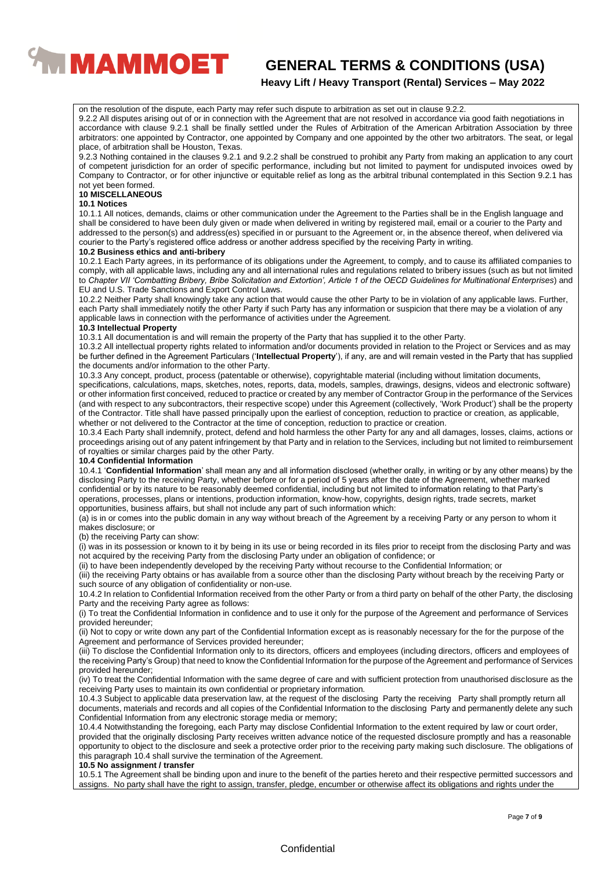

 **GENERAL TERMS & CONDITIONS (USA)**

**Heavy Lift / Heavy Transport (Rental) Services – May 2022**

on the resolution of the dispute, each Party may refer such dispute to arbitration as set out in clause 9.2.2.

9.2.2 All disputes arising out of or in connection with the Agreement that are not resolved in accordance via good faith negotiations in accordance with clause 9.2.1 shall be finally settled under the Rules of Arbitration of the American Arbitration Association by three arbitrators: one appointed by Contractor, one appointed by Company and one appointed by the other two arbitrators. The seat, or legal place, of arbitration shall be Houston, Texas.

9.2.3 Nothing contained in the clauses 9.2.1 and 9.2.2 shall be construed to prohibit any Party from making an application to any court of competent jurisdiction for an order of specific performance, including but not limited to payment for undisputed invoices owed by Company to Contractor, or for other injunctive or equitable relief as long as the arbitral tribunal contemplated in this Section 9.2.1 has not yet been formed.

#### **10 MISCELLANEOUS**

#### **10.1 Notices**

10.1.1 All notices, demands, claims or other communication under the Agreement to the Parties shall be in the English language and shall be considered to have been duly given or made when delivered in writing by registered mail, email or a courier to the Party and addressed to the person(s) and address(es) specified in or pursuant to the Agreement or, in the absence thereof, when delivered via courier to the Party's registered office address or another address specified by the receiving Party in writing.

#### **10.2 Business ethics and anti-bribery**

10.2.1 Each Party agrees, in its performance of its obligations under the Agreement, to comply, and to cause its affiliated companies to comply, with all applicable laws, including any and all international rules and regulations related to bribery issues (such as but not limited to *Chapter VII 'Combatting Bribery, Bribe Solicitation and Extortion', Article 1 of the OECD Guidelines for Multinational Enterprises*) and EU and U.S. Trade Sanctions and Export Control Laws.

10.2.2 Neither Party shall knowingly take any action that would cause the other Party to be in violation of any applicable laws. Further, each Party shall immediately notify the other Party if such Party has any information or suspicion that there may be a violation of any applicable laws in connection with the performance of activities under the Agreement.

#### **10.3 Intellectual Property**

10.3.1 All documentation is and will remain the property of the Party that has supplied it to the other Party.

10.3.2 All intellectual property rights related to information and/or documents provided in relation to the Project or Services and as may be further defined in the Agreement Particulars ('**Intellectual Property**'), if any, are and will remain vested in the Party that has supplied the documents and/or information to the other Party.

10.3.3 Any concept, product, process (patentable or otherwise), copyrightable material (including without limitation documents,

specifications, calculations, maps, sketches, notes, reports, data, models, samples, drawings, designs, videos and electronic software) or other information first conceived, reduced to practice or created by any member of Contractor Group in the performance of the Services (and with respect to any subcontractors, their respective scope) under this Agreement (collectively, 'Work Product') shall be the property of the Contractor. Title shall have passed principally upon the earliest of conception, reduction to practice or creation, as applicable, whether or not delivered to the Contractor at the time of conception, reduction to practice or creation.

10.3.4 Each Party shall indemnify, protect, defend and hold harmless the other Party for any and all damages, losses, claims, actions or proceedings arising out of any patent infringement by that Party and in relation to the Services, including but not limited to reimbursement of royalties or similar charges paid by the other Party.

#### **10.4 Confidential Information**

10.4.1 '**Confidential Information**' shall mean any and all information disclosed (whether orally, in writing or by any other means) by the disclosing Party to the receiving Party, whether before or for a period of 5 years after the date of the Agreement, whether marked confidential or by its nature to be reasonably deemed confidential, including but not limited to information relating to that Party's operations, processes, plans or intentions, production information, know-how, copyrights, design rights, trade secrets, market opportunities, business affairs, but shall not include any part of such information which:

(a) is in or comes into the public domain in any way without breach of the Agreement by a receiving Party or any person to whom it makes disclosure; or

(b) the receiving Party can show:

(i) was in its possession or known to it by being in its use or being recorded in its files prior to receipt from the disclosing Party and was not acquired by the receiving Party from the disclosing Party under an obligation of confidence; or

(ii) to have been independently developed by the receiving Party without recourse to the Confidential Information; or

(iii) the receiving Party obtains or has available from a source other than the disclosing Party without breach by the receiving Party or such source of any obligation of confidentiality or non-use.

10.4.2 In relation to Confidential Information received from the other Party or from a third party on behalf of the other Party, the disclosing Party and the receiving Party agree as follows:

(i) To treat the Confidential Information in confidence and to use it only for the purpose of the Agreement and performance of Services provided hereunder;

(ii) Not to copy or write down any part of the Confidential Information except as is reasonably necessary for the for the purpose of the Agreement and performance of Services provided hereunder;

(iii) To disclose the Confidential Information only to its directors, officers and employees (including directors, officers and employees of the receiving Party's Group) that need to know the Confidential Information for the purpose of the Agreement and performance of Services provided hereunder;

(iv) To treat the Confidential Information with the same degree of care and with sufficient protection from unauthorised disclosure as the receiving Party uses to maintain its own confidential or proprietary information.

10.4.3 Subject to applicable data preservation law, at the request of the disclosing Party the receiving Party shall promptly return all documents, materials and records and all copies of the Confidential Information to the disclosing Party and permanently delete any such Confidential Information from any electronic storage media or memory;

10.4.4 Notwithstanding the foregoing, each Party may disclose Confidential Information to the extent required by law or court order, provided that the originally disclosing Party receives written advance notice of the requested disclosure promptly and has a reasonable opportunity to object to the disclosure and seek a protective order prior to the receiving party making such disclosure. The obligations of this paragraph 10.4 shall survive the termination of the Agreement.

#### **10.5 No assignment / transfer**

10.5.1 The Agreement shall be binding upon and inure to the benefit of the parties hereto and their respective permitted successors and assigns. No party shall have the right to assign, transfer, pledge, encumber or otherwise affect its obligations and rights under the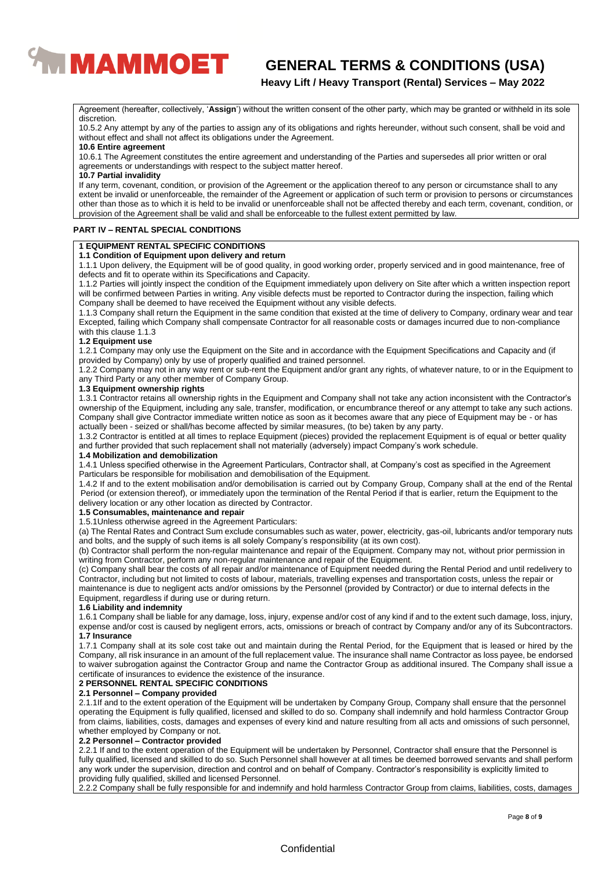

Agreement (hereafter, collectively, '**Assign**') without the written consent of the other party, which may be granted or withheld in its sole discretion.

10.5.2 Any attempt by any of the parties to assign any of its obligations and rights hereunder, without such consent, shall be void and without effect and shall not affect its obligations under the Agreement.

#### **10.6 Entire agreement**

10.6.1 The Agreement constitutes the entire agreement and understanding of the Parties and supersedes all prior written or oral agreements or understandings with respect to the subject matter hereof.

#### **10.7 Partial invalidity**

If any term, covenant, condition, or provision of the Agreement or the application thereof to any person or circumstance shall to any extent be invalid or unenforceable, the remainder of the Agreement or application of such term or provision to persons or circumstances other than those as to which it is held to be invalid or unenforceable shall not be affected thereby and each term, covenant, condition, or provision of the Agreement shall be valid and shall be enforceable to the fullest extent permitted by law.

#### **PART IV – RENTAL SPECIAL CONDITIONS**

#### **1 EQUIPMENT RENTAL SPECIFIC CONDITIONS**

#### **1.1 Condition of Equipment upon delivery and return**

1.1.1 Upon delivery, the Equipment will be of good quality, in good working order, properly serviced and in good maintenance, free of defects and fit to operate within its Specifications and Capacity.

1.1.2 Parties will jointly inspect the condition of the Equipment immediately upon delivery on Site after which a written inspection report will be confirmed between Parties in writing. Any visible defects must be reported to Contractor during the inspection, failing which Company shall be deemed to have received the Equipment without any visible defects.

1.1.3 Company shall return the Equipment in the same condition that existed at the time of delivery to Company, ordinary wear and tear Excepted, failing which Company shall compensate Contractor for all reasonable costs or damages incurred due to non-compliance with this clause 1.1.3

#### **1.2 Equipment use**

1.2.1 Company may only use the Equipment on the Site and in accordance with the Equipment Specifications and Capacity and (if provided by Company) only by use of properly qualified and trained personnel.

1.2.2 Company may not in any way rent or sub-rent the Equipment and/or grant any rights, of whatever nature, to or in the Equipment to any Third Party or any other member of Company Group.

#### **1.3 Equipment ownership rights**

1.3.1 Contractor retains all ownership rights in the Equipment and Company shall not take any action inconsistent with the Contractor's ownership of the Equipment, including any sale, transfer, modification, or encumbrance thereof or any attempt to take any such actions. Company shall give Contractor immediate written notice as soon as it becomes aware that any piece of Equipment may be - or has actually been - seized or shall/has become affected by similar measures, (to be) taken by any party.

1.3.2 Contractor is entitled at all times to replace Equipment (pieces) provided the replacement Equipment is of equal or better quality and further provided that such replacement shall not materially (adversely) impact Company's work schedule.

#### **1.4 Mobilization and demobilization**

1.4.1 Unless specified otherwise in the Agreement Particulars, Contractor shall, at Company's cost as specified in the Agreement Particulars be responsible for mobilisation and demobilisation of the Equipment.

1.4.2 If and to the extent mobilisation and/or demobilisation is carried out by Company Group, Company shall at the end of the Rental Period (or extension thereof), or immediately upon the termination of the Rental Period if that is earlier, return the Equipment to the delivery location or any other location as directed by Contractor.

#### **1.5 Consumables, maintenance and repair**

1.5.1Unless otherwise agreed in the Agreement Particulars:

(a) The Rental Rates and Contract Sum exclude consumables such as water, power, electricity, gas-oil, lubricants and/or temporary nuts and bolts, and the supply of such items is all solely Company's responsibility (at its own cost).

(b) Contractor shall perform the non-regular maintenance and repair of the Equipment. Company may not, without prior permission in writing from Contractor, perform any non-regular maintenance and repair of the Equipment.

(c) Company shall bear the costs of all repair and/or maintenance of Equipment needed during the Rental Period and until redelivery to Contractor, including but not limited to costs of labour, materials, travelling expenses and transportation costs, unless the repair or maintenance is due to negligent acts and/or omissions by the Personnel (provided by Contractor) or due to internal defects in the Equipment, regardless if during use or during return.

#### **1.6 Liability and indemnity**

1.6.1 Company shall be liable for any damage, loss, injury, expense and/or cost of any kind if and to the extent such damage, loss, injury, expense and/or cost is caused by negligent errors, acts, omissions or breach of contract by Company and/or any of its Subcontractors. **1.7 Insurance**

1.7.1 Company shall at its sole cost take out and maintain during the Rental Period, for the Equipment that is leased or hired by the Company, all risk insurance in an amount of the full replacement value. The insurance shall name Contractor as loss payee, be endorsed to waiver subrogation against the Contractor Group and name the Contractor Group as additional insured. The Company shall issue a certificate of insurances to evidence the existence of the insurance.

#### **2 PERSONNEL RENTAL SPECIFIC CONDITIONS**

#### **2.1 Personnel – Company provided**

2.1.1If and to the extent operation of the Equipment will be undertaken by Company Group, Company shall ensure that the personnel operating the Equipment is fully qualified, licensed and skilled to do so. Company shall indemnify and hold harmless Contractor Group from claims, liabilities, costs, damages and expenses of every kind and nature resulting from all acts and omissions of such personnel, whether employed by Company or not.

#### **2.2 Personnel – Contractor provided**

2.2.1 If and to the extent operation of the Equipment will be undertaken by Personnel, Contractor shall ensure that the Personnel is fully qualified, licensed and skilled to do so. Such Personnel shall however at all times be deemed borrowed servants and shall perform any work under the supervision, direction and control and on behalf of Company. Contractor's responsibility is explicitly limited to providing fully qualified, skilled and licensed Personnel.

2.2.2 Company shall be fully responsible for and indemnify and hold harmless Contractor Group from claims, liabilities, costs, damages